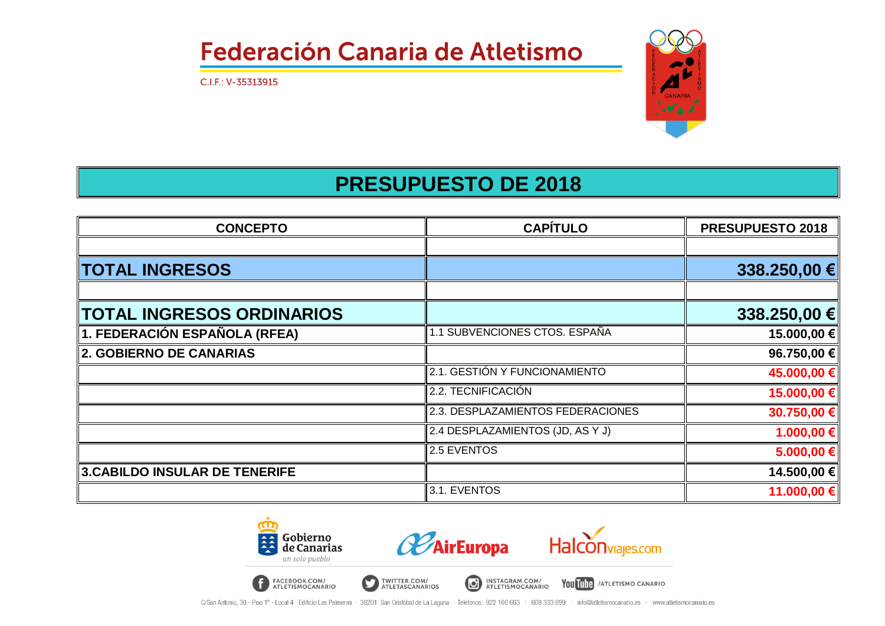C.I.F.: V-35313915



### **PRESUPUESTO DE 2018**

| <b>CONCEPTO</b>                | <b>CAPÍTULO</b>                   | PRESUPUESTO 2018 |  |
|--------------------------------|-----------------------------------|------------------|--|
|                                |                                   |                  |  |
| <b>TOTAL INGRESOS</b>          |                                   | 338.250,00 €     |  |
|                                |                                   |                  |  |
| TOTAL INGRESOS ORDINARIOS      |                                   | 338.250,00 €     |  |
| 1. FEDERACIÓN ESPAÑOLA (RFEA)  | 1.1 SUBVENCIONES CTOS. ESPAÑA     | 15.000,00 €      |  |
| <b>2. GOBIERNO DE CANARIAS</b> |                                   | 96.750,00 €      |  |
|                                | 2.1. GESTIÓN Y FUNCIONAMIENTO     | 45.000,00 €      |  |
|                                | 2.2. TECNIFICACIÓN                | 15.000,00 €      |  |
|                                | 2.3. DESPLAZAMIENTOS FEDERACIONES | 30.750,00 €      |  |
|                                | 2.4 DESPLAZAMIENTOS (JD, AS Y J)  | $1.000,00 \in$   |  |
|                                | 2.5 EVENTOS                       | 5.000,00 €       |  |
| 3.CABILDO INSULAR DE TENERIFE  |                                   | 14.500,00 €      |  |
|                                | 3.1. EVENTOS                      | 11.000,00 €      |  |

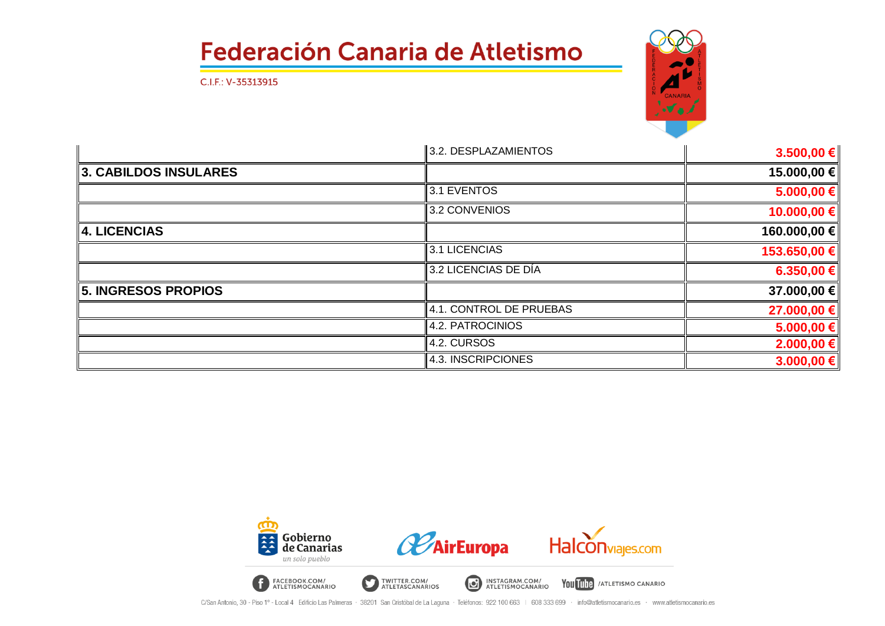C.I.F.: V-35313915



|                          | 3.2. DESPLAZAMIENTOS    | 3.500,00 €     |
|--------------------------|-------------------------|----------------|
| 3. CABILDOS INSULARES    |                         | 15.000,00 €    |
|                          | 3.1 EVENTOS             | 5.000,00 €     |
|                          | 3.2 CONVENIOS           | 10.000,00 €    |
| $\parallel$ 4. LICENCIAS |                         | 160.000,00 €   |
|                          | 3.1 LICENCIAS           | 153.650,00 €   |
|                          | 3.2 LICENCIAS DE DÍA    | 6.350,00 €     |
| 5. INGRESOS PROPIOS      |                         | 37.000,00 €    |
|                          | 4.1. CONTROL DE PRUEBAS | 27.000,00 €    |
|                          | 4.2. PATROCINIOS        | 5.000,00 €     |
|                          | 4.2. CURSOS             | 2.000,00 €     |
|                          | 4.3. INSCRIPCIONES      | $3.000,00 \in$ |

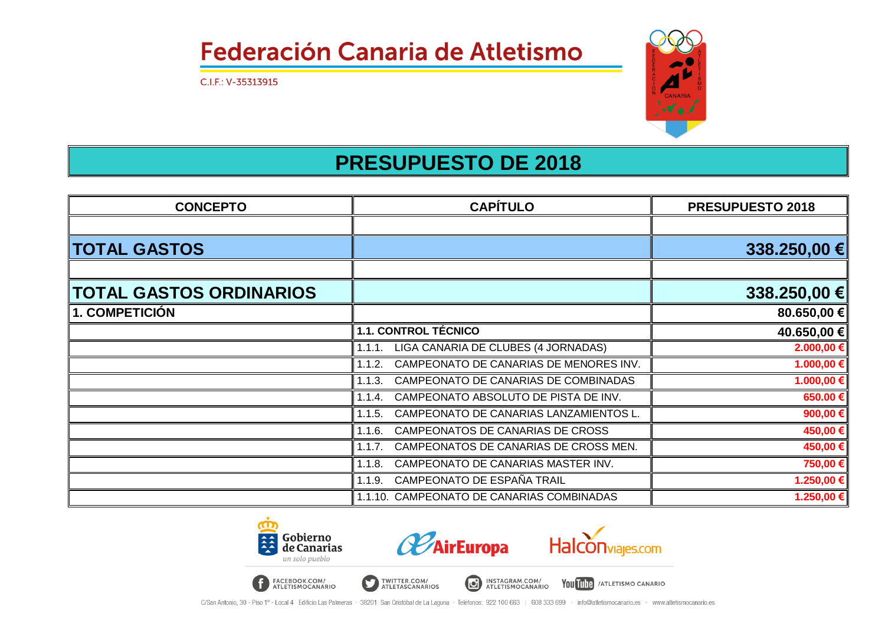C.I.F.: V-35313915



#### **PRESUPUESTO DE 2018**

| <b>CONCEPTO</b>                | <b>CAPÍTULO</b>                                  | <b>PRESUPUESTO 2018</b> |
|--------------------------------|--------------------------------------------------|-------------------------|
|                                |                                                  |                         |
| <b>TOTAL GASTOS</b>            |                                                  | 338.250,00 €            |
| <b>TOTAL GASTOS ORDINARIOS</b> |                                                  | 338.250,00 €            |
| <b>1. COMPETICIÓN</b>          |                                                  | 80.650,00 €             |
|                                | <b>1.1. CONTROL TÉCNICO</b>                      | 40.650,00 €             |
|                                | LIGA CANARIA DE CLUBES (4 JORNADAS)<br>1.1.1.    | 2.000,00 €              |
|                                | CAMPEONATO DE CANARIAS DE MENORES INV.<br>1.1.2. | 1.000,00 €              |
|                                | CAMPEONATO DE CANARIAS DE COMBINADAS<br>1.1.3.   | 1.000,00 €              |
|                                | CAMPEONATO ABSOLUTO DE PISTA DE INV.<br>1.1.4.   | 650.00 €                |
|                                | CAMPEONATO DE CANARIAS LANZAMIENTOS L.<br>1.1.5. | 900,00 €                |
|                                | CAMPEONATOS DE CANARIAS DE CROSS<br>1.1.6.       | 450,00 €                |
|                                | CAMPEONATOS DE CANARIAS DE CROSS MEN.<br>1.1.7.  | 450,00 €                |
|                                | CAMPEONATO DE CANARIAS MASTER INV.<br>1.1.8.     | 750,00€                 |
|                                | CAMPEONATO DE ESPAÑA TRAIL<br>1.1.9.             | 1.250,00 €              |
|                                | 1.1.10. CAMPEONATO DE CANARIAS COMBINADAS        | 1.250,00 €              |

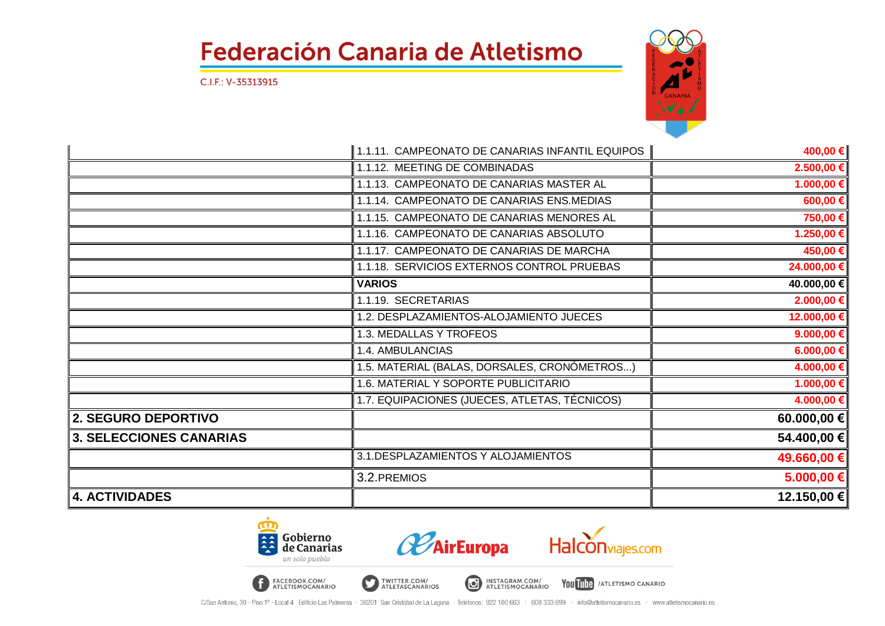C.I.F.: V-35313915



|                                | 1.1.11. CAMPEONATO DE CANARIAS INFANTIL EQUIPOS | 400,00 €       |
|--------------------------------|-------------------------------------------------|----------------|
|                                | 1.1.12. MEETING DE COMBINADAS                   | 2.500,00 €     |
|                                | 1.1.13. CAMPEONATO DE CANARIAS MASTER AL        | 1.000,00 €     |
|                                | 1.1.14. CAMPEONATO DE CANARIAS ENS.MEDIAS       | $600,00 \in$   |
|                                | 1.1.15. CAMPEONATO DE CANARIAS MENORES AL       | 750,00 €       |
|                                | 1.1.16. CAMPEONATO DE CANARIAS ABSOLUTO         | 1.250,00 €     |
|                                | 1.1.17. CAMPEONATO DE CANARIAS DE MARCHA        | 450,00€        |
|                                | 1.1.18. SERVICIOS EXTERNOS CONTROL PRUEBAS      | 24.000,00 €    |
|                                | <b>VARIOS</b>                                   | 40.000,00 €    |
|                                | 1.1.19. SECRETARIAS                             | 2.000,00 €     |
|                                | 1.2. DESPLAZAMIENTOS-ALOJAMIENTO JUECES         | 12.000,00 €    |
|                                | 1.3. MEDALLAS Y TROFEOS                         | 9.000,00 €     |
|                                | <b>1.4. AMBULANCIAS</b>                         | 6.000,00 €     |
|                                | 1.5. MATERIAL (BALAS, DORSALES, CRONÓMETROS)    | 4.000,00 €     |
|                                | 1.6. MATERIAL Y SOPORTE PUBLICITARIO            | $1.000,00 \in$ |
|                                | 1.7. EQUIPACIONES (JUECES, ATLETAS, TÉCNICOS)   | 4.000,00 €     |
| 2. SEGURO DEPORTIVO            |                                                 | 60.000,00 €    |
| <b>3. SELECCIONES CANARIAS</b> |                                                 | 54.400,00 €    |
|                                | 3.1. DESPLAZAMIENTOS Y ALOJAMIENTOS             | 49.660,00 €    |
|                                | 3.2. PREMIOS                                    | 5.000,00 €     |
| <b>4. ACTIVIDADES</b>          |                                                 | 12.150,00 €    |

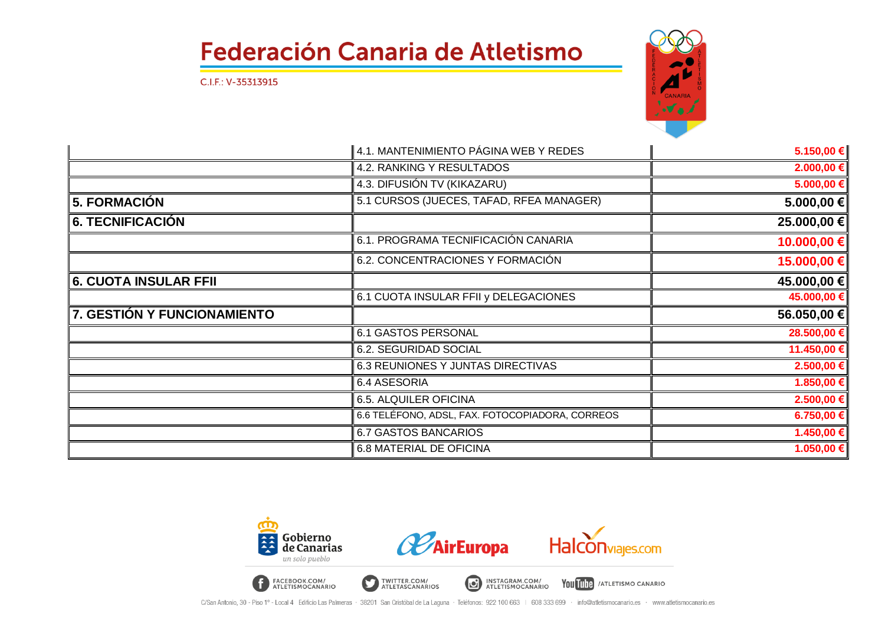C.I.F.: V-35313915



|                             | 4.1. MANTENIMIENTO PÁGINA WEB Y REDES           | 5.150,00 €     |
|-----------------------------|-------------------------------------------------|----------------|
|                             | 4.2. RANKING Y RESULTADOS                       | 2.000,00 €     |
|                             | 4.3. DIFUSIÓN TV (KIKAZARU)                     | 5.000,00 €     |
| ∥5. FORMACIÓN               | 5.1 CURSOS (JUECES, TAFAD, RFEA MANAGER)        | 5.000,00 €     |
| 6. TECNIFICACIÓN            |                                                 | 25.000,00 €    |
|                             | 6.1. PROGRAMA TECNIFICACIÓN CANARIA             | 10.000,00 €    |
|                             | 6.2. CONCENTRACIONES Y FORMACIÓN                | 15.000,00 €    |
| 6. CUOTA INSULAR FFII       |                                                 | 45.000,00 €    |
|                             | 6.1 CUOTA INSULAR FFII y DELEGACIONES           | 45.000,00 €    |
| 7. GESTIÓN Y FUNCIONAMIENTO |                                                 | 56.050,00 €    |
|                             | 6.1 GASTOS PERSONAL                             | 28.500,00 €    |
|                             | 6.2. SEGURIDAD SOCIAL                           | 11.450,00 €    |
|                             | 6.3 REUNIONES Y JUNTAS DIRECTIVAS               | 2.500,00 €     |
|                             | 6.4 ASESORIA                                    | 1.850,00 €     |
|                             | 6.5. ALQUILER OFICINA                           | 2.500,00 €     |
|                             | 6.6 TELÉFONO, ADSL, FAX. FOTOCOPIADORA, CORREOS | 6.750,00€      |
|                             | <b>6.7 GASTOS BANCARIOS</b>                     | 1.450,00 €     |
|                             | <b>6.8 MATERIAL DE OFICINA</b>                  | $1.050,00 \in$ |